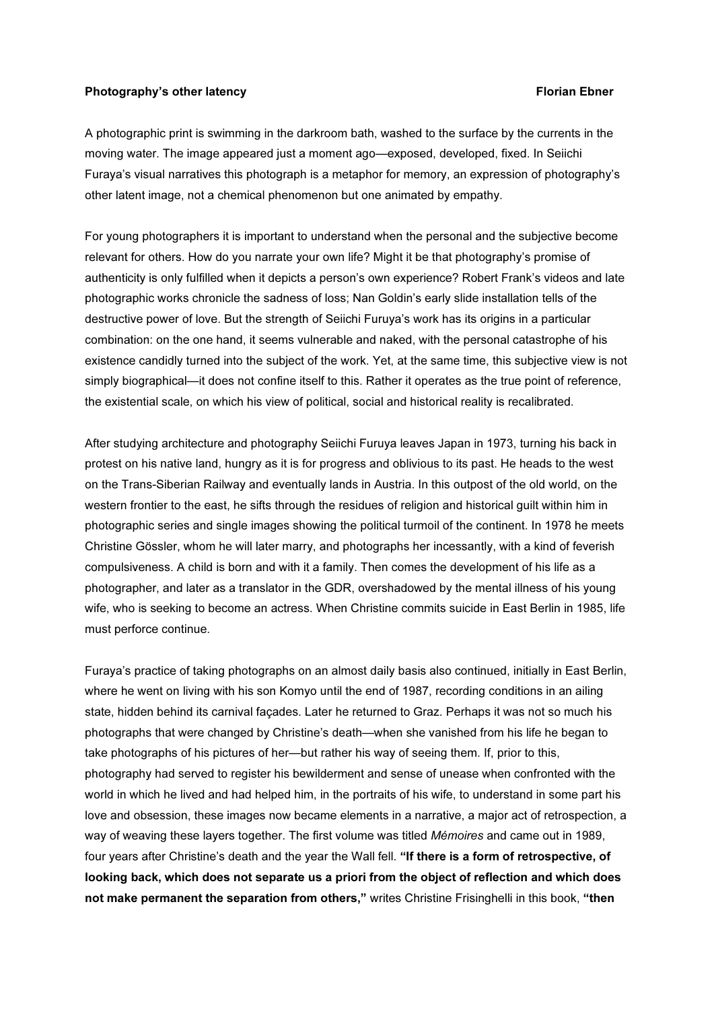## Photography's other latency **Florian Ebner** Florian Ebner

A photographic print is swimming in the darkroom bath, washed to the surface by the currents in the moving water. The image appeared just a moment ago—exposed, developed, fixed. In Seiichi Furaya's visual narratives this photograph is a metaphor for memory, an expression of photography's other latent image, not a chemical phenomenon but one animated by empathy.

For young photographers it is important to understand when the personal and the subjective become relevant for others. How do you narrate your own life? Might it be that photography's promise of authenticity is only fulfilled when it depicts a person's own experience? Robert Frank's videos and late photographic works chronicle the sadness of loss; Nan Goldin's early slide installation tells of the destructive power of love. But the strength of Seiichi Furuya's work has its origins in a particular combination: on the one hand, it seems vulnerable and naked, with the personal catastrophe of his existence candidly turned into the subject of the work. Yet, at the same time, this subjective view is not simply biographical—it does not confine itself to this. Rather it operates as the true point of reference, the existential scale, on which his view of political, social and historical reality is recalibrated.

After studying architecture and photography Seiichi Furuya leaves Japan in 1973, turning his back in protest on his native land, hungry as it is for progress and oblivious to its past. He heads to the west on the Trans-Siberian Railway and eventually lands in Austria. In this outpost of the old world, on the western frontier to the east, he sifts through the residues of religion and historical guilt within him in photographic series and single images showing the political turmoil of the continent. In 1978 he meets Christine Gössler, whom he will later marry, and photographs her incessantly, with a kind of feverish compulsiveness. A child is born and with it a family. Then comes the development of his life as a photographer, and later as a translator in the GDR, overshadowed by the mental illness of his young wife, who is seeking to become an actress. When Christine commits suicide in East Berlin in 1985, life must perforce continue.

Furaya's practice of taking photographs on an almost daily basis also continued, initially in East Berlin, where he went on living with his son Komyo until the end of 1987, recording conditions in an ailing state, hidden behind its carnival façades. Later he returned to Graz. Perhaps it was not so much his photographs that were changed by Christine's death—when she vanished from his life he began to take photographs of his pictures of her—but rather his way of seeing them. If, prior to this, photography had served to register his bewilderment and sense of unease when confronted with the world in which he lived and had helped him, in the portraits of his wife, to understand in some part his love and obsession, these images now became elements in a narrative, a major act of retrospection, a way of weaving these layers together. The first volume was titled Mémoires and came out in 1989, four years after Christine's death and the year the Wall fell. "If there is a form of retrospective, of looking back, which does not separate us a priori from the object of reflection and which does not make permanent the separation from others," writes Christine Frisinghelli in this book, "then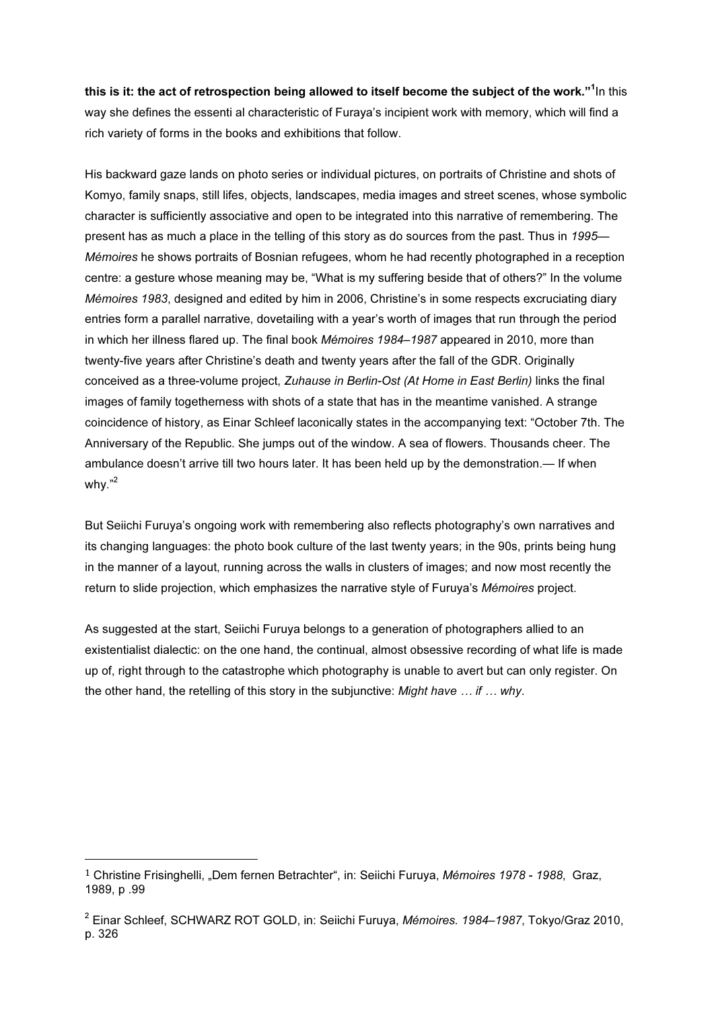this is it: the act of retrospection being allowed to itself become the subject of the work." $^{\mathsf{1}}$ In this way she defines the essenti al characteristic of Furaya's incipient work with memory, which will find a rich variety of forms in the books and exhibitions that follow.

His backward gaze lands on photo series or individual pictures, on portraits of Christine and shots of Komyo, family snaps, still lifes, objects, landscapes, media images and street scenes, whose symbolic character is sufficiently associative and open to be integrated into this narrative of remembering. The present has as much a place in the telling of this story as do sources from the past. Thus in 1995— Mémoires he shows portraits of Bosnian refugees, whom he had recently photographed in a reception centre: a gesture whose meaning may be, "What is my suffering beside that of others?" In the volume Mémoires 1983, designed and edited by him in 2006, Christine's in some respects excruciating diary entries form a parallel narrative, dovetailing with a year's worth of images that run through the period in which her illness flared up. The final book Mémoires 1984–1987 appeared in 2010, more than twenty-five years after Christine's death and twenty years after the fall of the GDR. Originally conceived as a three-volume project, Zuhause in Berlin-Ost (At Home in East Berlin) links the final images of family togetherness with shots of a state that has in the meantime vanished. A strange coincidence of history, as Einar Schleef laconically states in the accompanying text: "October 7th. The Anniversary of the Republic. She jumps out of the window. A sea of flowers. Thousands cheer. The ambulance doesn't arrive till two hours later. It has been held up by the demonstration.— If when whv."2

But Seiichi Furuya's ongoing work with remembering also reflects photography's own narratives and its changing languages: the photo book culture of the last twenty years; in the 90s, prints being hung in the manner of a layout, running across the walls in clusters of images; and now most recently the return to slide projection, which emphasizes the narrative style of Furuya's Mémoires project.

As suggested at the start, Seiichi Furuya belongs to a generation of photographers allied to an existentialist dialectic: on the one hand, the continual, almost obsessive recording of what life is made up of, right through to the catastrophe which photography is unable to avert but can only register. On the other hand, the retelling of this story in the subjunctive: *Might have*  $\dots$  *if*  $\dots$  *why*.

<sup>&</sup>lt;sup>1</sup> Christine Frisinghelli, "Dem fernen Betrachter", in: Seiichi Furuya, Mémoires 1978 - 1988, Graz, 1989, p .99

<sup>&</sup>lt;sup>2</sup> Einar Schleef, SCHWARZ ROT GOLD, in: Seiichi Furuya, *Mémoires. 1984–1987*, Tokyo/Graz 2010,<br>n. 326 p. 326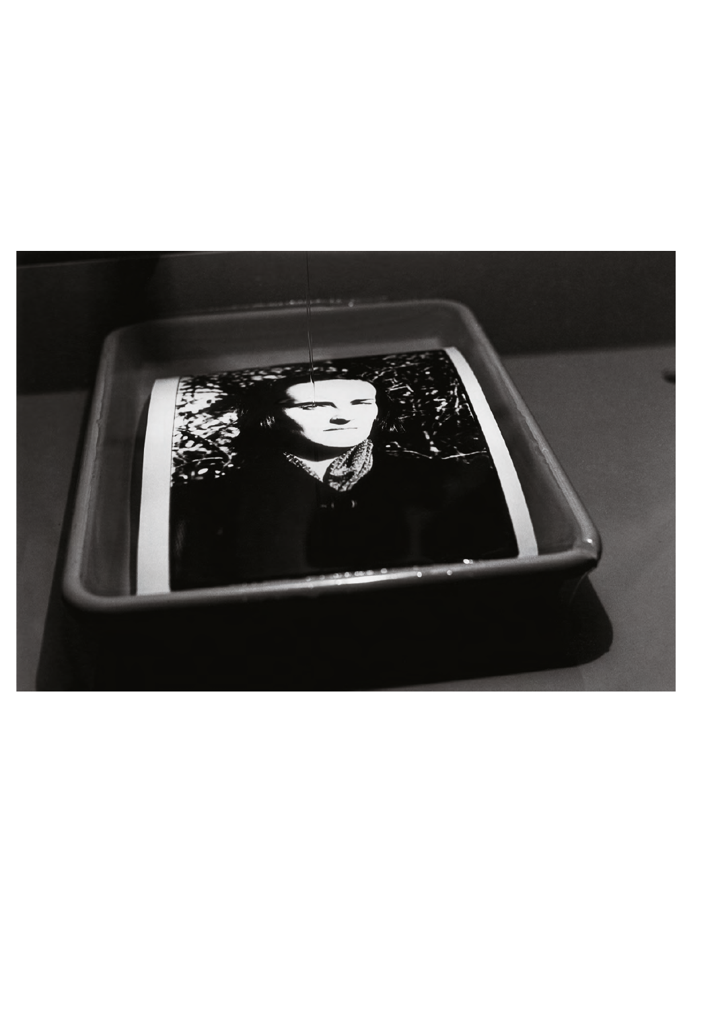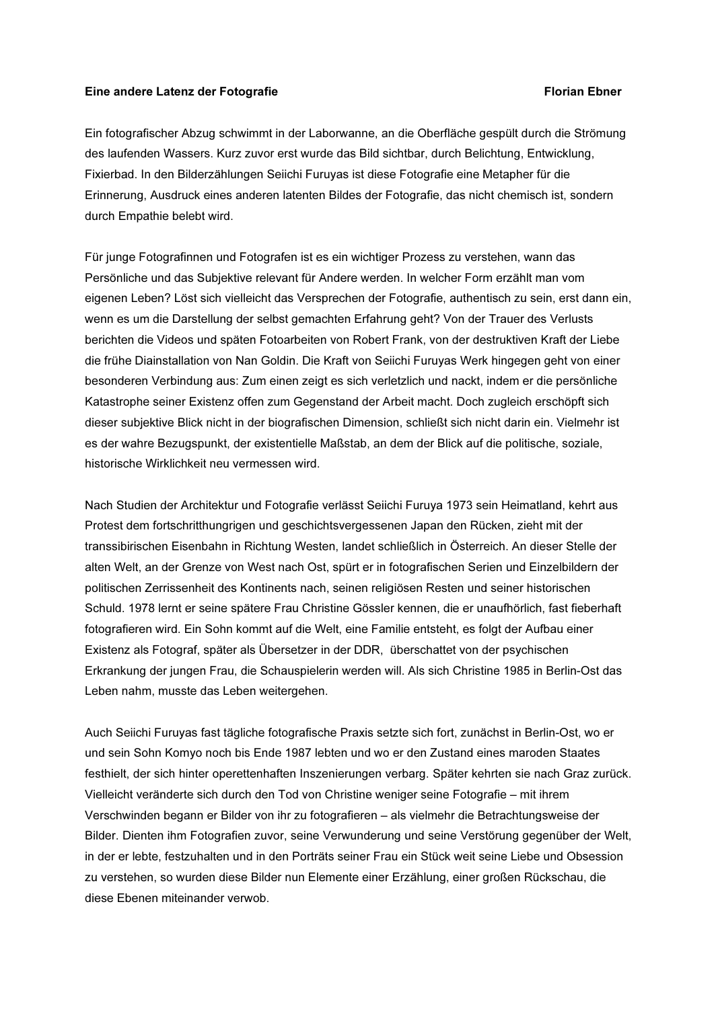## Eine andere Latenz der Fotografie Florian Ebner Florian Ebner

Ein fotografischer Abzug schwimmt in der Laborwanne, an die Oberfläche gespült durch die Strömung des laufenden Wassers. Kurz zuvor erst wurde das Bild sichtbar, durch Belichtung, Entwicklung, Fixierbad. In den Bilderzählungen Seiichi Furuyas ist diese Fotografie eine Metapher für die Erinnerung, Ausdruck eines anderen latenten Bildes der Fotografie, das nicht chemisch ist, sondern durch Empathie belebt wird.

Für junge Fotografinnen und Fotografen ist es ein wichtiger Prozess zu verstehen, wann das Persönliche und das Subjektive relevant für Andere werden. In welcher Form erzählt man vom eigenen Leben? Löst sich vielleicht das Versprechen der Fotografie, authentisch zu sein, erst dann ein, wenn es um die Darstellung der selbst gemachten Erfahrung geht? Von der Trauer des Verlusts berichten die Videos und späten Fotoarbeiten von Robert Frank, von der destruktiven Kraft der Liebe die frühe Diainstallation von Nan Goldin. Die Kraft von Seiichi Furuyas Werk hingegen geht von einer besonderen Verbindung aus: Zum einen zeigt es sich verletzlich und nackt, indem er die persönliche Katastrophe seiner Existenz offen zum Gegenstand der Arbeit macht. Doch zugleich erschöpft sich dieser subjektive Blick nicht in der biografischen Dimension, schließt sich nicht darin ein. Vielmehr ist es der wahre Bezugspunkt, der existentielle Maßstab, an dem der Blick auf die politische, soziale, historische Wirklichkeit neu vermessen wird.

Nach Studien der Architektur und Fotografie verlässt Seiichi Furuya 1973 sein Heimatland, kehrt aus Protest dem fortschritthungrigen und geschichtsvergessenen Japan den Rücken, zieht mit der transsibirischen Eisenbahn in Richtung Westen, landet schließlich in Österreich. An dieser Stelle der alten Welt, an der Grenze von West nach Ost, spürt er in fotografischen Serien und Einzelbildern der politischen Zerrissenheit des Kontinents nach, seinen religiösen Resten und seiner historischen Schuld. 1978 lernt er seine spätere Frau Christine Gössler kennen, die er unaufhörlich, fast fieberhaft fotografieren wird. Ein Sohn kommt auf die Welt, eine Familie entsteht, es folgt der Aufbau einer Existenz als Fotograf, später als Übersetzer in der DDR, überschattet von der psychischen Erkrankung der jungen Frau, die Schauspielerin werden will. Als sich Christine 1985 in Berlin-Ost das Leben nahm, musste das Leben weitergehen.

Auch Seiichi Furuyas fast tägliche fotografische Praxis setzte sich fort, zunächst in Berlin-Ost, wo er und sein Sohn Komyo noch bis Ende 1987 lebten und wo er den Zustand eines maroden Staates festhielt, der sich hinter operettenhaften Inszenierungen verbarg. Später kehrten sie nach Graz zurück. Vielleicht veränderte sich durch den Tod von Christine weniger seine Fotografie – mit ihrem Verschwinden begann er Bilder von ihr zu fotografieren – als vielmehr die Betrachtungsweise der Bilder. Dienten ihm Fotografien zuvor, seine Verwunderung und seine Verstörung gegenüber der Welt, in der er lebte, festzuhalten und in den Porträts seiner Frau ein Stück weit seine Liebe und Obsession zu verstehen, so wurden diese Bilder nun Elemente einer Erzählung, einer großen Rückschau, die diese Ebenen miteinander verwob.